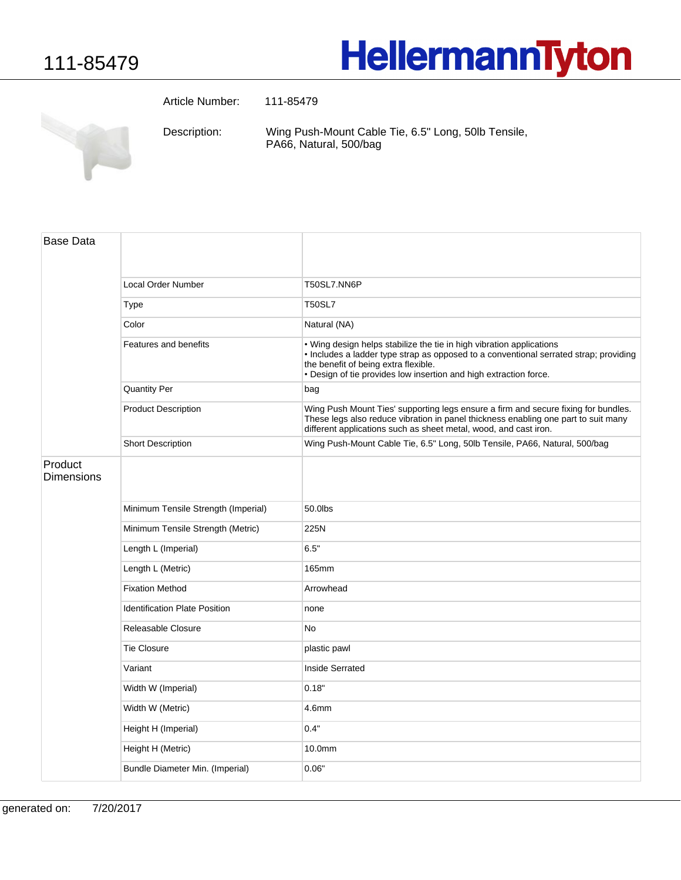## **HellermannTyton**

**CONTRACTOR** 

Article Number: 111-85479

Wing Push-Mount Cable Tie, 6.5" Long, 50lb Tensile, PA66, Natural, 500/bag Description:

| <b>Base Data</b>      |                                      |                                                                                                                                                                                                                                                                            |
|-----------------------|--------------------------------------|----------------------------------------------------------------------------------------------------------------------------------------------------------------------------------------------------------------------------------------------------------------------------|
|                       | <b>Local Order Number</b>            | T50SL7.NN6P                                                                                                                                                                                                                                                                |
|                       | Type                                 | <b>T50SL7</b>                                                                                                                                                                                                                                                              |
|                       | Color                                | Natural (NA)                                                                                                                                                                                                                                                               |
|                       | Features and benefits                | . Wing design helps stabilize the tie in high vibration applications<br>. Includes a ladder type strap as opposed to a conventional serrated strap; providing<br>the benefit of being extra flexible.<br>. Design of tie provides low insertion and high extraction force. |
|                       | <b>Quantity Per</b>                  | bag                                                                                                                                                                                                                                                                        |
|                       | <b>Product Description</b>           | Wing Push Mount Ties' supporting legs ensure a firm and secure fixing for bundles.<br>These legs also reduce vibration in panel thickness enabling one part to suit many<br>different applications such as sheet metal, wood, and cast iron.                               |
|                       | <b>Short Description</b>             | Wing Push-Mount Cable Tie, 6.5" Long, 50lb Tensile, PA66, Natural, 500/bag                                                                                                                                                                                                 |
| Product<br>Dimensions |                                      |                                                                                                                                                                                                                                                                            |
|                       | Minimum Tensile Strength (Imperial)  | 50.0lbs                                                                                                                                                                                                                                                                    |
|                       | Minimum Tensile Strength (Metric)    | 225N                                                                                                                                                                                                                                                                       |
|                       | Length L (Imperial)                  | 6.5"                                                                                                                                                                                                                                                                       |
|                       | Length L (Metric)                    | <b>165mm</b>                                                                                                                                                                                                                                                               |
|                       | <b>Fixation Method</b>               | Arrowhead                                                                                                                                                                                                                                                                  |
|                       | <b>Identification Plate Position</b> | none                                                                                                                                                                                                                                                                       |
|                       | Releasable Closure                   | <b>No</b>                                                                                                                                                                                                                                                                  |
|                       | <b>Tie Closure</b>                   | plastic pawl                                                                                                                                                                                                                                                               |
|                       | Variant                              | Inside Serrated                                                                                                                                                                                                                                                            |
|                       | Width W (Imperial)                   | 0.18"                                                                                                                                                                                                                                                                      |
|                       | Width W (Metric)                     | 4.6mm                                                                                                                                                                                                                                                                      |
|                       | Height H (Imperial)                  | 0.4"                                                                                                                                                                                                                                                                       |
|                       | Height H (Metric)                    | 10.0mm                                                                                                                                                                                                                                                                     |
|                       | Bundle Diameter Min. (Imperial)      | 0.06"                                                                                                                                                                                                                                                                      |